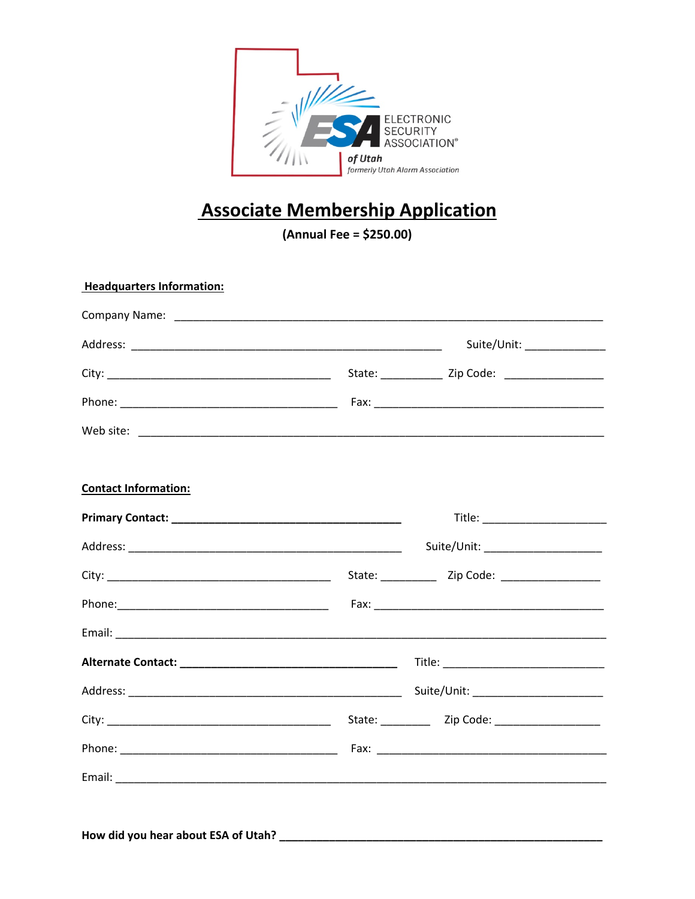

## **Associate Membership Application**

 $(Annual Free = $250.00)$ 

| <b>Headquarters Information:</b> |                             |
|----------------------------------|-----------------------------|
|                                  |                             |
|                                  | Suite/Unit: _______________ |
|                                  |                             |
|                                  |                             |
|                                  |                             |
| <b>Contact Information:</b>      |                             |
|                                  |                             |
|                                  |                             |
|                                  |                             |
|                                  |                             |
|                                  |                             |
|                                  |                             |
|                                  |                             |
|                                  |                             |
|                                  |                             |
|                                  |                             |
|                                  |                             |